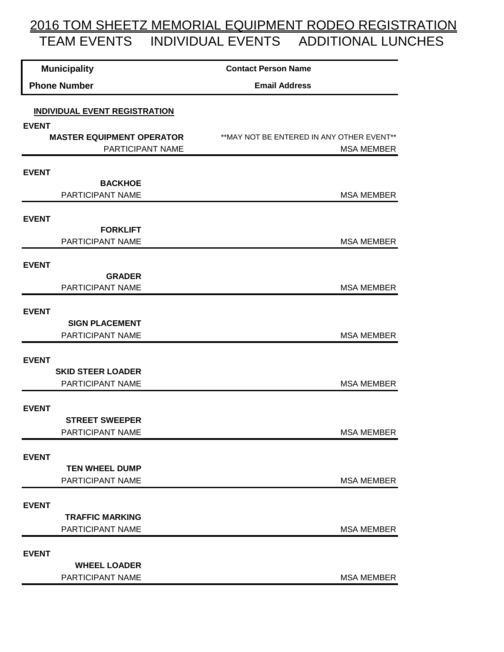## 2016 TOM SHEETZ MEMORIAL EQUIPMENT RODEO REGISTRATION TEAM EVENTS INDIVIDUAL EVENTS ADDITIONAL LUNCHES

| <b>Municipality</b>                                                                      |                                              | <b>Contact Person Name</b>                 |
|------------------------------------------------------------------------------------------|----------------------------------------------|--------------------------------------------|
| <b>Phone Number</b>                                                                      |                                              | <b>Email Address</b>                       |
| <b>INDIVIDUAL EVENT REGISTRATION</b><br><b>EVENT</b><br><b>MASTER EQUIPMENT OPERATOR</b> |                                              | ** MAY NOT BE ENTERED IN ANY OTHER EVENT** |
|                                                                                          | PARTICIPANT NAME                             | <b>MSA MEMBER</b>                          |
| <b>EVENT</b>                                                                             | <b>BACKHOE</b>                               |                                            |
|                                                                                          | PARTICIPANT NAME                             | <b>MSA MEMBER</b>                          |
| <b>EVENT</b>                                                                             | <b>FORKLIFT</b>                              |                                            |
|                                                                                          | PARTICIPANT NAME                             | <b>MSA MEMBER</b>                          |
| <b>EVENT</b>                                                                             | <b>GRADER</b>                                |                                            |
|                                                                                          | PARTICIPANT NAME                             | <b>MSA MEMBER</b>                          |
| <b>EVENT</b>                                                                             | <b>SIGN PLACEMENT</b>                        |                                            |
|                                                                                          | PARTICIPANT NAME                             | <b>MSA MEMBER</b>                          |
| <b>EVENT</b>                                                                             |                                              |                                            |
|                                                                                          | <b>SKID STEER LOADER</b><br>PARTICIPANT NAME | <b>MSA MEMBER</b>                          |
| <b>EVENT</b>                                                                             |                                              |                                            |
|                                                                                          | <b>STREET SWEEPER</b><br>PARTICIPANT NAME    | <b>MSA MEMBER</b>                          |
| <b>EVENT</b>                                                                             |                                              |                                            |
|                                                                                          | <b>TEN WHEEL DUMP</b><br>PARTICIPANT NAME    | <b>MSA MEMBER</b>                          |
|                                                                                          |                                              |                                            |
| <b>EVENT</b>                                                                             | <b>TRAFFIC MARKING</b>                       |                                            |
|                                                                                          | PARTICIPANT NAME                             | <b>MSA MEMBER</b>                          |
|                                                                                          |                                              |                                            |
| <b>EVENT</b>                                                                             | <b>WHEEL LOADER</b>                          |                                            |
|                                                                                          | PARTICIPANT NAME                             | <b>MSA MEMBER</b>                          |